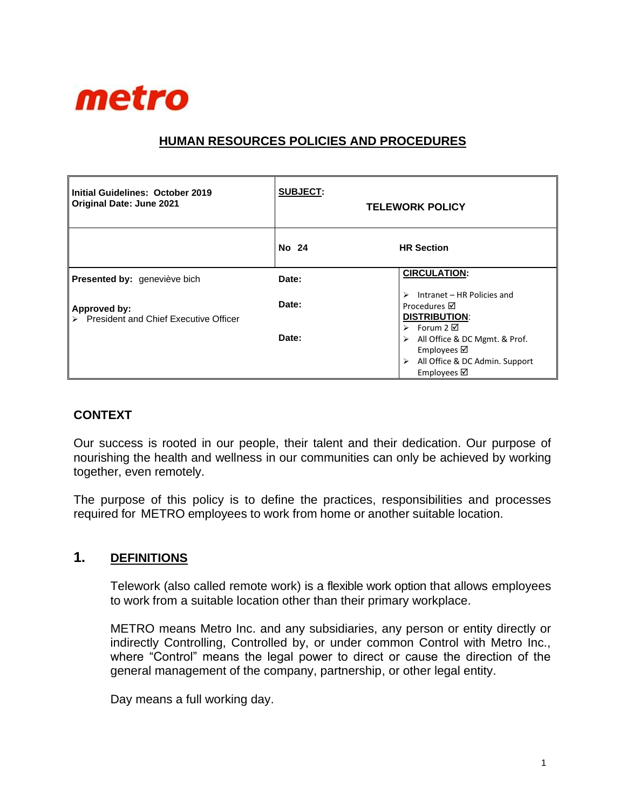

#### **HUMAN RESOURCES POLICIES AND PROCEDURES**

| Initial Guidelines: October 2019<br><b>Original Date: June 2021</b>    | <b>SUBJECT:</b><br><b>TELEWORK POLICY</b> |                                                                                                                                         |
|------------------------------------------------------------------------|-------------------------------------------|-----------------------------------------------------------------------------------------------------------------------------------------|
|                                                                        | No 24                                     | <b>HR Section</b>                                                                                                                       |
| Presented by: geneviève bich                                           | Date:                                     | <b>CIRCULATION:</b>                                                                                                                     |
| Approved by:<br>$\triangleright$ President and Chief Executive Officer | Date:                                     | Intranet – HR Policies and<br>↘<br>Procedures $\boxtimes$<br><b>DISTRIBUTION:</b><br>$\triangleright$ Forum 2 $\boxtimes$               |
|                                                                        | Date:                                     | $\triangleright$ All Office & DC Mgmt. & Prof.<br>Employees $\boxtimes$<br>All Office & DC Admin. Support<br>➤<br>Employees $\boxtimes$ |

#### **CONTEXT**

Our success is rooted in our people, their talent and their dedication. Our purpose of nourishing the health and wellness in our communities can only be achieved by working together, even remotely.

The purpose of this policy is to define the practices, responsibilities and processes required for METRO employees to work from home or another suitable location.

### **1. DEFINITIONS**

Telework (also called remote work) is a flexible work option that allows employees to work from a suitable location other than their primary workplace.

METRO means Metro Inc. and any subsidiaries, any person or entity directly or indirectly Controlling, Controlled by, or under common Control with Metro Inc., where "Control" means the legal power to direct or cause the direction of the general management of the company, partnership, or other legal entity.

Day means a full working day.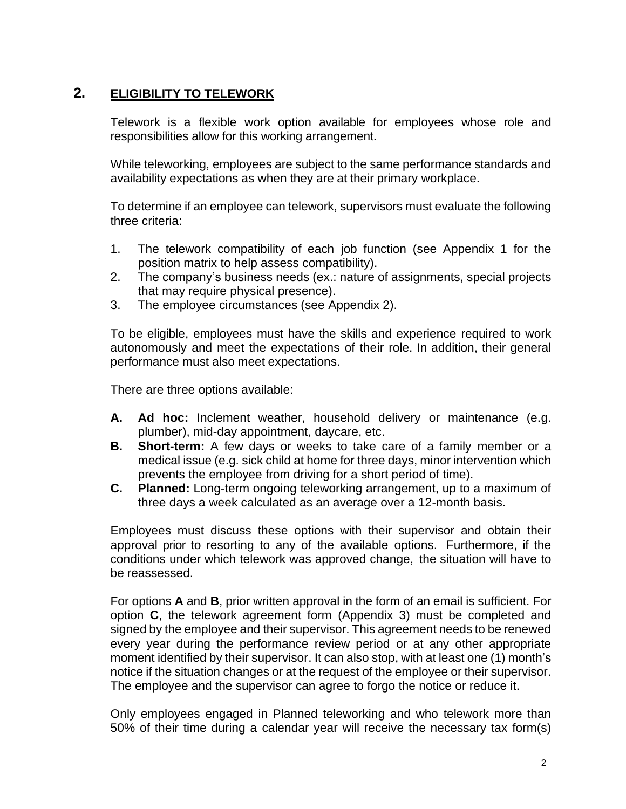## **2. ELIGIBILITY TO TELEWORK**

Telework is a flexible work option available for employees whose role and responsibilities allow for this working arrangement.

While teleworking, employees are subject to the same performance standards and availability expectations as when they are at their primary workplace.

To determine if an employee can telework, supervisors must evaluate the following three criteria:

- 1. The telework compatibility of each job function (see Appendix 1 for the position matrix to help assess compatibility).
- 2. The company's business needs (ex.: nature of assignments, special projects that may require physical presence).
- 3. The employee circumstances (see Appendix 2).

To be eligible, employees must have the skills and experience required to work autonomously and meet the expectations of their role. In addition, their general performance must also meet expectations.

There are three options available:

- **A. Ad hoc:** Inclement weather, household delivery or maintenance (e.g. plumber), mid-day appointment, daycare, etc.
- **B. Short-term:** A few days or weeks to take care of a family member or a medical issue (e.g. sick child at home for three days, minor intervention which prevents the employee from driving for a short period of time).
- **C. Planned:** Long-term ongoing teleworking arrangement, up to a maximum of three days a week calculated as an average over a 12-month basis.

Employees must discuss these options with their supervisor and obtain their approval prior to resorting to any of the available options. Furthermore, if the conditions under which telework was approved change, the situation will have to be reassessed.

For options **A** and **B**, prior written approval in the form of an email is sufficient. For option **C**, the telework agreement form (Appendix 3) must be completed and signed by the employee and their supervisor. This agreement needs to be renewed every year during the performance review period or at any other appropriate moment identified by their supervisor. It can also stop, with at least one (1) month's notice if the situation changes or at the request of the employee or their supervisor. The employee and the supervisor can agree to forgo the notice or reduce it.

Only employees engaged in Planned teleworking and who telework more than 50% of their time during a calendar year will receive the necessary tax form(s)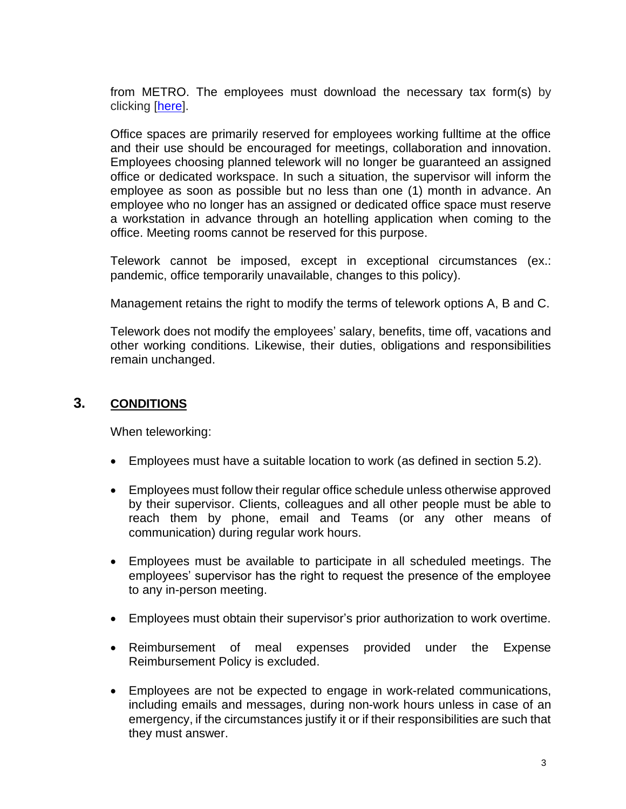from METRO. The employees must download the necessary tax form(s) by clicking [\[here\]](https://intranet.metro.ca/en/documentcenter/Pages/default.aspx?RootFolder=%2Fen%2Fdocumentcenter%2FDocuments%2FHuman%20Resources%2F07%20%2D%20HR%20Guides%20and%20Procedures%2FTelework&FolderCTID=0x0120009FA822160A78A14DAF5D2E13847AFF6F&View=%7BD43C3FAA%2D8B91%2D4728%2D9A13%2D6C6E3A47D687%7D).

Office spaces are primarily reserved for employees working fulltime at the office and their use should be encouraged for meetings, collaboration and innovation. Employees choosing planned telework will no longer be guaranteed an assigned office or dedicated workspace. In such a situation, the supervisor will inform the employee as soon as possible but no less than one (1) month in advance. An employee who no longer has an assigned or dedicated office space must reserve a workstation in advance through an hotelling application when coming to the office. Meeting rooms cannot be reserved for this purpose.

Telework cannot be imposed, except in exceptional circumstances (ex.: pandemic, office temporarily unavailable, changes to this policy).

Management retains the right to modify the terms of telework options A, B and C.

Telework does not modify the employees' salary, benefits, time off, vacations and other working conditions. Likewise, their duties, obligations and responsibilities remain unchanged.

## **3. CONDITIONS**

When teleworking:

- Employees must have a suitable location to work (as defined in section 5.2).
- Employees must follow their regular office schedule unless otherwise approved by their supervisor. Clients, colleagues and all other people must be able to reach them by phone, email and Teams (or any other means of communication) during regular work hours.
- Employees must be available to participate in all scheduled meetings. The employees' supervisor has the right to request the presence of the employee to any in-person meeting.
- Employees must obtain their supervisor's prior authorization to work overtime.
- Reimbursement of meal expenses provided under the Expense Reimbursement Policy is excluded.
- Employees are not be expected to engage in work-related communications, including emails and messages, during non-work hours unless in case of an emergency, if the circumstances justify it or if their responsibilities are such that they must answer.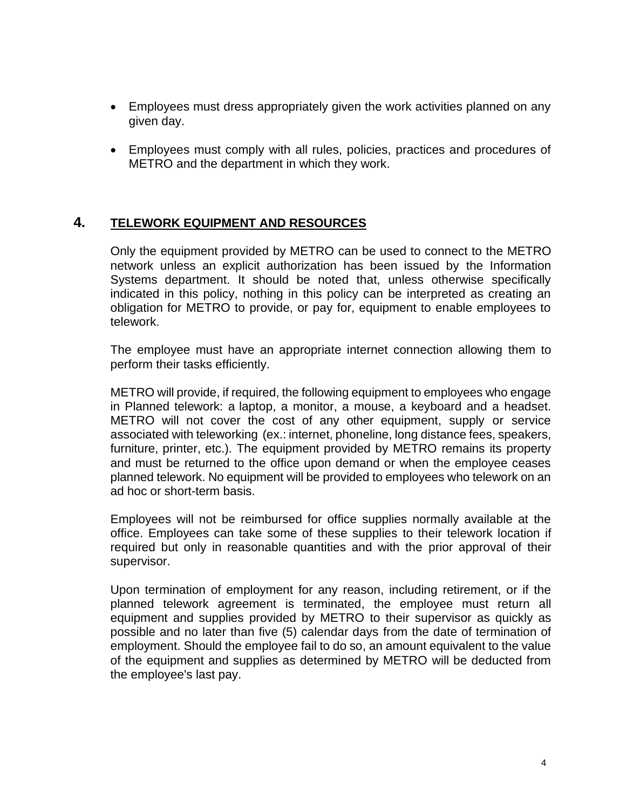- Employees must dress appropriately given the work activities planned on any given day.
- Employees must comply with all rules, policies, practices and procedures of METRO and the department in which they work.

#### **4. TELEWORK EQUIPMENT AND RESOURCES**

Only the equipment provided by METRO can be used to connect to the METRO network unless an explicit authorization has been issued by the Information Systems department. It should be noted that, unless otherwise specifically indicated in this policy, nothing in this policy can be interpreted as creating an obligation for METRO to provide, or pay for, equipment to enable employees to telework.

The employee must have an appropriate internet connection allowing them to perform their tasks efficiently.

METRO will provide, if required, the following equipment to employees who engage in Planned telework: a laptop, a monitor, a mouse, a keyboard and a headset. METRO will not cover the cost of any other equipment, supply or service associated with teleworking (ex.: internet, phoneline, long distance fees, speakers, furniture, printer, etc.). The equipment provided by METRO remains its property and must be returned to the office upon demand or when the employee ceases planned telework. No equipment will be provided to employees who telework on an ad hoc or short-term basis.

Employees will not be reimbursed for office supplies normally available at the office. Employees can take some of these supplies to their telework location if required but only in reasonable quantities and with the prior approval of their supervisor.

Upon termination of employment for any reason, including retirement, or if the planned telework agreement is terminated, the employee must return all equipment and supplies provided by METRO to their supervisor as quickly as possible and no later than five (5) calendar days from the date of termination of employment. Should the employee fail to do so, an amount equivalent to the value of the equipment and supplies as determined by METRO will be deducted from the employee's last pay.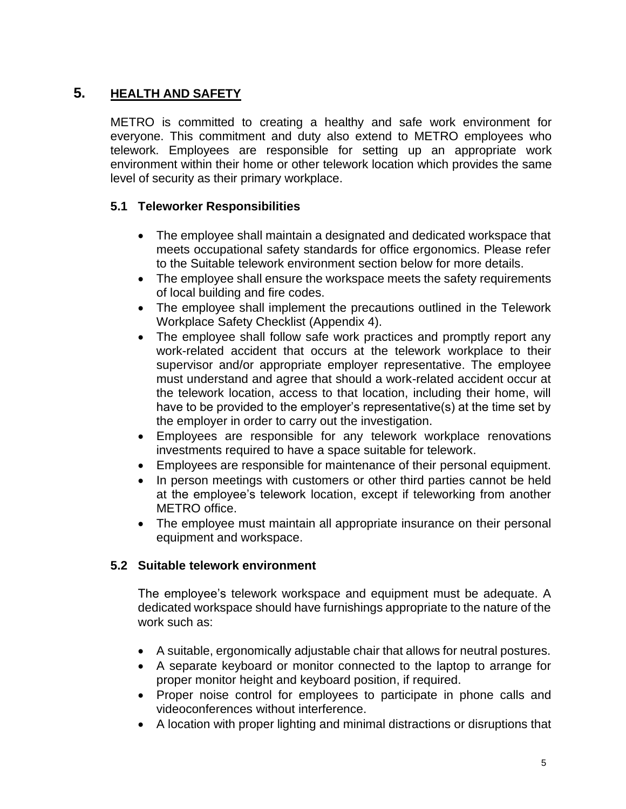## **5. HEALTH AND SAFETY**

METRO is committed to creating a healthy and safe work environment for everyone. This commitment and duty also extend to METRO employees who telework. Employees are responsible for setting up an appropriate work environment within their home or other telework location which provides the same level of security as their primary workplace.

#### **5.1 Teleworker Responsibilities**

- The employee shall maintain a designated and dedicated workspace that meets occupational safety standards for office ergonomics. Please refer to the Suitable telework environment section below for more details.
- The employee shall ensure the workspace meets the safety requirements of local building and fire codes.
- The employee shall implement the precautions outlined in the Telework Workplace Safety Checklist (Appendix 4).
- The employee shall follow safe work practices and promptly report any work-related accident that occurs at the telework workplace to their supervisor and/or appropriate employer representative. The employee must understand and agree that should a work-related accident occur at the telework location, access to that location, including their home, will have to be provided to the employer's representative(s) at the time set by the employer in order to carry out the investigation.
- Employees are responsible for any telework workplace renovations investments required to have a space suitable for telework.
- Employees are responsible for maintenance of their personal equipment.
- In person meetings with customers or other third parties cannot be held at the employee's telework location, except if teleworking from another METRO office.
- The employee must maintain all appropriate insurance on their personal equipment and workspace.

#### **5.2 Suitable telework environment**

The employee's telework workspace and equipment must be adequate. A dedicated workspace should have furnishings appropriate to the nature of the work such as:

- A suitable, ergonomically adjustable chair that allows for neutral postures.
- A separate keyboard or monitor connected to the laptop to arrange for proper monitor height and keyboard position, if required.
- Proper noise control for employees to participate in phone calls and videoconferences without interference.
- A location with proper lighting and minimal distractions or disruptions that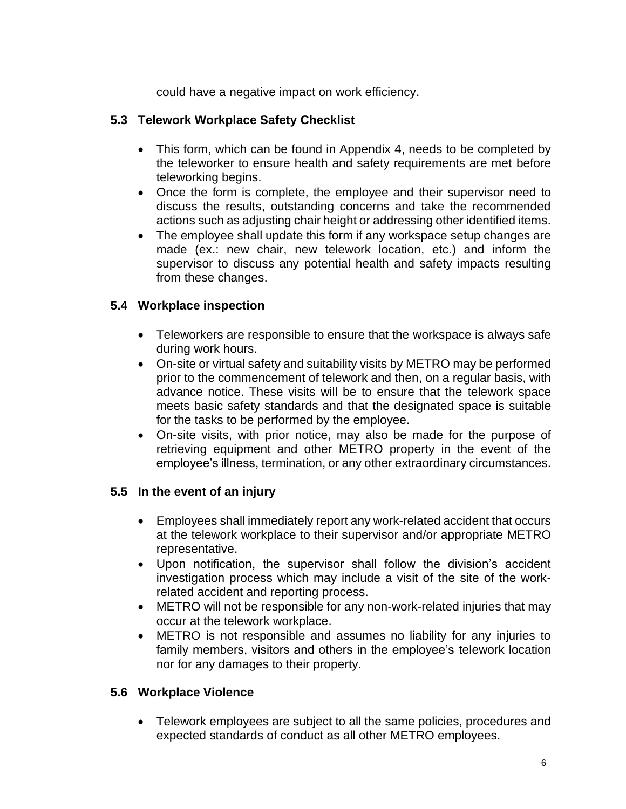could have a negative impact on work efficiency.

#### **5.3 Telework Workplace Safety Checklist**

- This form, which can be found in Appendix 4, needs to be completed by the teleworker to ensure health and safety requirements are met before teleworking begins.
- Once the form is complete, the employee and their supervisor need to discuss the results, outstanding concerns and take the recommended actions such as adjusting chair height or addressing other identified items.
- The employee shall update this form if any workspace setup changes are made (ex.: new chair, new telework location, etc.) and inform the supervisor to discuss any potential health and safety impacts resulting from these changes.

#### **5.4 Workplace inspection**

- Teleworkers are responsible to ensure that the workspace is always safe during work hours.
- On-site or virtual safety and suitability visits by METRO may be performed prior to the commencement of telework and then, on a regular basis, with advance notice. These visits will be to ensure that the telework space meets basic safety standards and that the designated space is suitable for the tasks to be performed by the employee.
- On-site visits, with prior notice, may also be made for the purpose of retrieving equipment and other METRO property in the event of the employee's illness, termination, or any other extraordinary circumstances.

#### **5.5 In the event of an injury**

- Employees shall immediately report any work-related accident that occurs at the telework workplace to their supervisor and/or appropriate METRO representative.
- Upon notification, the supervisor shall follow the division's accident investigation process which may include a visit of the site of the workrelated accident and reporting process.
- METRO will not be responsible for any non-work-related injuries that may occur at the telework workplace.
- METRO is not responsible and assumes no liability for any injuries to family members, visitors and others in the employee's telework location nor for any damages to their property.

#### **5.6 Workplace Violence**

• Telework employees are subject to all the same policies, procedures and expected standards of conduct as all other METRO employees.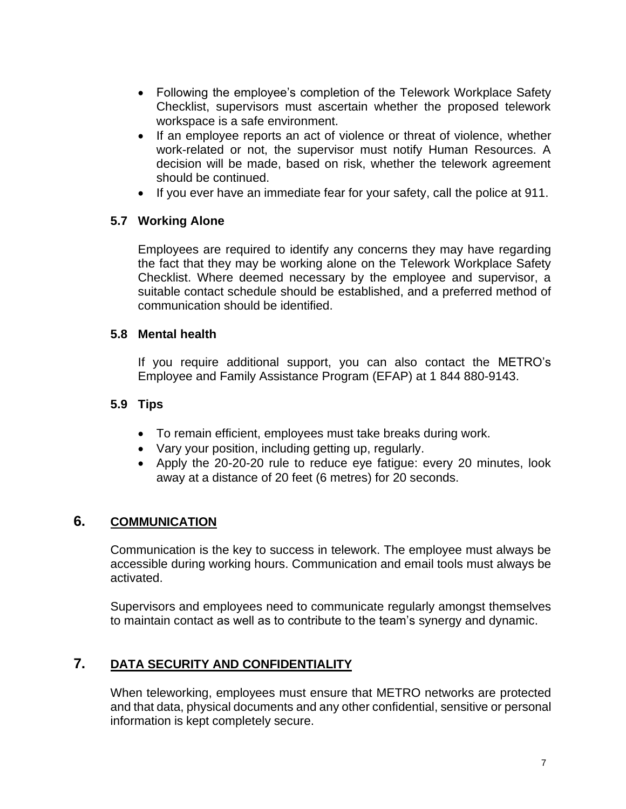- Following the employee's completion of the Telework Workplace Safety Checklist, supervisors must ascertain whether the proposed telework workspace is a safe environment.
- If an employee reports an act of violence or threat of violence, whether work-related or not, the supervisor must notify Human Resources. A decision will be made, based on risk, whether the telework agreement should be continued.
- If you ever have an immediate fear for your safety, call the police at 911.

#### **5.7 Working Alone**

Employees are required to identify any concerns they may have regarding the fact that they may be working alone on the Telework Workplace Safety Checklist. Where deemed necessary by the employee and supervisor, a suitable contact schedule should be established, and a preferred method of communication should be identified.

#### **5.8 Mental health**

If you require additional support, you can also contact the METRO's Employee and Family Assistance Program (EFAP) at 1 844 880-9143.

#### **5.9 Tips**

- To remain efficient, employees must take breaks during work.
- Vary your position, including getting up, regularly.
- Apply the 20-20-20 rule to reduce eye fatigue: every 20 minutes, look away at a distance of 20 feet (6 metres) for 20 seconds.

#### **6. COMMUNICATION**

Communication is the key to success in telework. The employee must always be accessible during working hours. Communication and email tools must always be activated.

Supervisors and employees need to communicate regularly amongst themselves to maintain contact as well as to contribute to the team's synergy and dynamic.

#### **7. DATA SECURITY AND CONFIDENTIALITY**

When teleworking, employees must ensure that METRO networks are protected and that data, physical documents and any other confidential, sensitive or personal information is kept completely secure.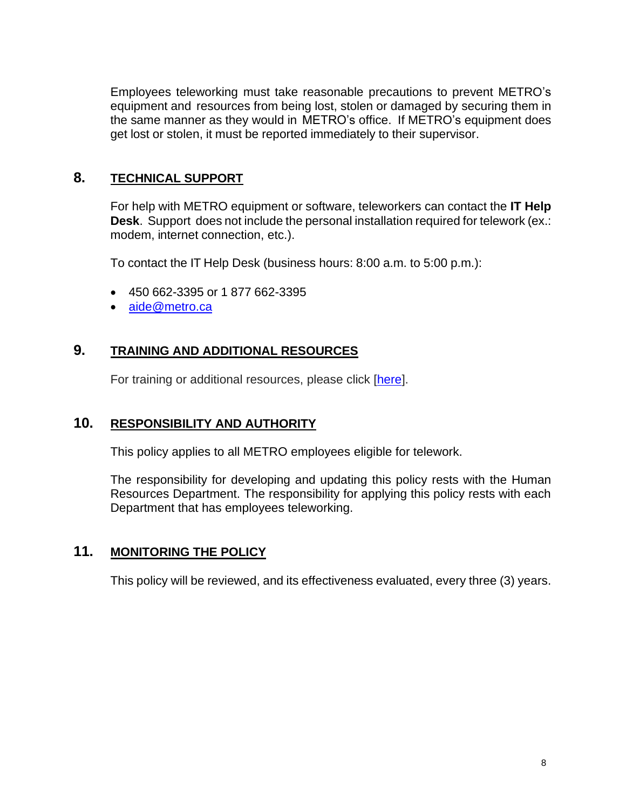Employees teleworking must take reasonable precautions to prevent METRO's equipment and resources from being lost, stolen or damaged by securing them in the same manner as they would in METRO's office. If METRO's equipment does get lost or stolen, it must be reported immediately to their supervisor.

#### **8. TECHNICAL SUPPORT**

For help with METRO equipment or software, teleworkers can contact the **IT Help Desk**. Support does not include the personal installation required for telework (ex.: modem, internet connection, etc.).

To contact the IT Help Desk (business hours: 8:00 a.m. to 5:00 p.m.):

- 450 662-3395 or 1 877 662-3395
- [aide@metro.ca](mailto:helpdesk@metro.ca)

## **9. TRAINING AND ADDITIONAL RESOURCES**

For training or additional resources, please click [\[here\]](https://intranet.metro.ca/en/documentcenter/Pages/default.aspx?RootFolder=%2Fen%2Fdocumentcenter%2FDocuments%2FHuman%20Resources%2F07%20%2D%20HR%20Guides%20and%20Procedures%2FTelework&FolderCTID=0x0120009FA822160A78A14DAF5D2E13847AFF6F&View=%7BD43C3FAA%2D8B91%2D4728%2D9A13%2D6C6E3A47D687%7D).

## **10. RESPONSIBILITY AND AUTHORITY**

This policy applies to all METRO employees eligible for telework.

The responsibility for developing and updating this policy rests with the Human Resources Department. The responsibility for applying this policy rests with each Department that has employees teleworking.

## **11. MONITORING THE POLICY**

This policy will be reviewed, and its effectiveness evaluated, every three (3) years.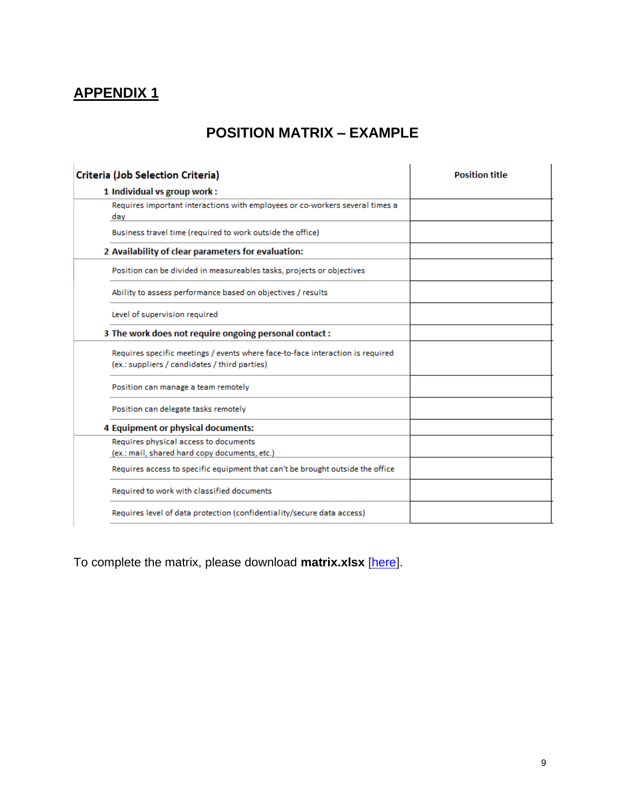# **POSITION MATRIX – EXAMPLE**

| Criteria (Job Selection Criteria)                                              | <b>Position title</b> |
|--------------------------------------------------------------------------------|-----------------------|
| 1 Individual vs group work:                                                    |                       |
| Requires important interactions with employees or co-workers several times a   |                       |
| day                                                                            |                       |
| Business travel time (required to work outside the office)                     |                       |
| 2 Availability of clear parameters for evaluation:                             |                       |
| Position can be divided in measureables tasks, projects or objectives          |                       |
| Ability to assess performance based on objectives / results                    |                       |
| Level of supervision required                                                  |                       |
| 3 The work does not require ongoing personal contact:                          |                       |
| Requires specific meetings / events where face-to-face interaction is required |                       |
| (ex.: suppliers / candidates / third parties)                                  |                       |
| Position can manage a team remotely                                            |                       |
| Position can delegate tasks remotely                                           |                       |
| 4 Equipment or physical documents:                                             |                       |
| Requires physical access to documents                                          |                       |
| (ex.: mail, shared hard copy documents, etc.)                                  |                       |
| Requires access to specific equipment that can't be brought outside the office |                       |
| Required to work with classified documents                                     |                       |
| Requires level of data protection (confidentiality/secure data access)         |                       |

To complete the matrix, please download **matrix.xlsx** [\[here\]](https://intranet.metro.ca/en/documentcenter/Pages/default.aspx?RootFolder=%2Fen%2Fdocumentcenter%2FDocuments%2FHuman%20Resources%2F07%20%2D%20HR%20Guides%20and%20Procedures%2FTelework&FolderCTID=0x0120009FA822160A78A14DAF5D2E13847AFF6F&View=%7BD43C3FAA%2D8B91%2D4728%2D9A13%2D6C6E3A47D687%7D).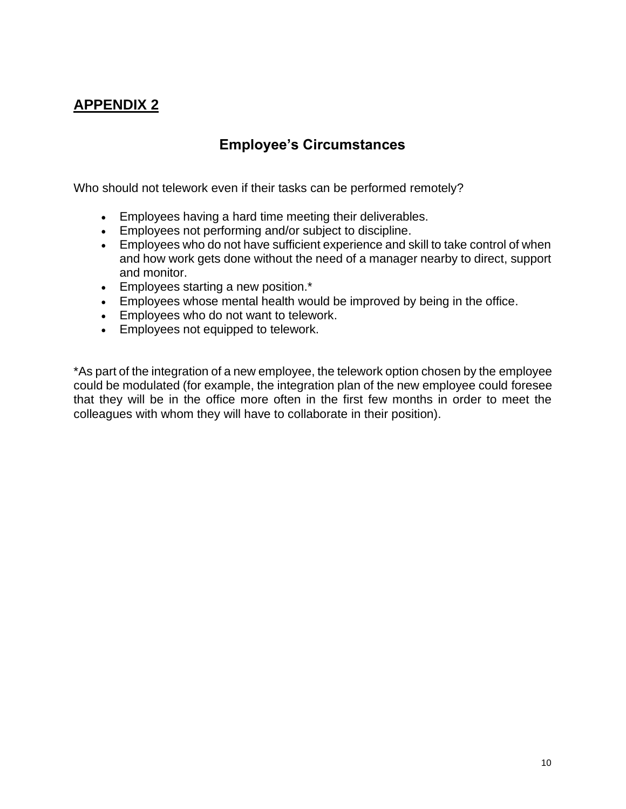# **Employee's Circumstances**

Who should not telework even if their tasks can be performed remotely?

- Employees having a hard time meeting their deliverables.
- Employees not performing and/or subject to discipline.
- Employees who do not have sufficient experience and skill to take control of when and how work gets done without the need of a manager nearby to direct, support and monitor.
- Employees starting a new position.\*
- Employees whose mental health would be improved by being in the office.
- Employees who do not want to telework.
- Employees not equipped to telework.

\*As part of the integration of a new employee, the telework option chosen by the employee could be modulated (for example, the integration plan of the new employee could foresee that they will be in the office more often in the first few months in order to meet the colleagues with whom they will have to collaborate in their position).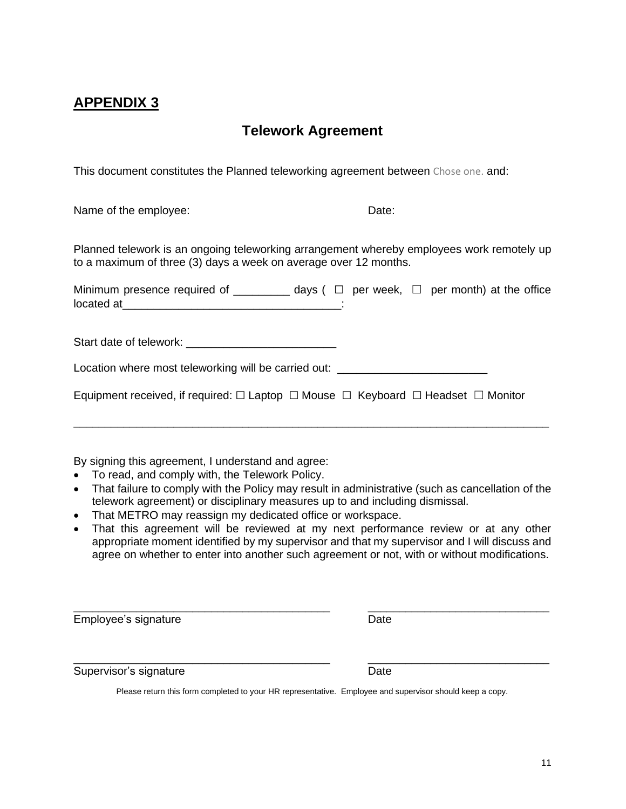## **Telework Agreement**

This document constitutes the Planned teleworking agreement between Chose one. and:

Name of the employee:  $\blacksquare$ 

Planned telework is an ongoing teleworking arrangement whereby employees work remotely up to a maximum of three (3) days a week on average over 12 months.

Minimum presence required of  $\Box$  days (  $\Box$  per week,  $\Box$  per month) at the office located at\_\_\_\_\_\_\_\_\_\_\_\_\_\_\_\_\_\_\_\_\_\_\_\_\_\_\_\_\_\_\_\_\_\_\_:

Start date of telework: \_\_\_\_\_\_\_\_\_\_\_\_\_\_\_\_\_\_\_\_\_\_\_\_

Location where most teleworking will be carried out: \_\_\_\_\_\_\_\_\_\_\_\_\_\_\_\_\_\_\_\_\_\_\_\_\_\_\_

Equipment received, if required:  $\Box$  Laptop  $\Box$  Mouse  $\Box$  Keyboard  $\Box$  Headset  $\Box$  Monitor

**\_\_\_\_\_\_\_\_\_\_\_\_\_\_\_\_\_\_\_\_\_\_\_\_\_\_\_\_\_\_\_\_\_\_\_\_\_\_\_\_\_\_\_\_\_\_\_\_\_\_\_\_\_\_\_\_\_\_\_\_\_\_\_\_\_\_\_\_\_\_\_\_\_\_\_\_**

By signing this agreement, I understand and agree:

- To read, and comply with, the Telework Policy.
- That failure to comply with the Policy may result in administrative (such as cancellation of the telework agreement) or disciplinary measures up to and including dismissal.
- That METRO may reassign my dedicated office or workspace.
- That this agreement will be reviewed at my next performance review or at any other appropriate moment identified by my supervisor and that my supervisor and I will discuss and agree on whether to enter into another such agreement or not, with or without modifications.

\_\_\_\_\_\_\_\_\_\_\_\_\_\_\_\_\_\_\_\_\_\_\_\_\_\_\_\_\_\_\_\_\_\_\_\_\_\_\_\_\_ \_\_\_\_\_\_\_\_\_\_\_\_\_\_\_\_\_\_\_\_\_\_\_\_\_\_\_\_\_ Employee's signature and the Date Date

Supervisor's signature Date Date

Please return this form completed to your HR representative. Employee and supervisor should keep a copy.

\_\_\_\_\_\_\_\_\_\_\_\_\_\_\_\_\_\_\_\_\_\_\_\_\_\_\_\_\_\_\_\_\_\_\_\_\_\_\_\_\_ \_\_\_\_\_\_\_\_\_\_\_\_\_\_\_\_\_\_\_\_\_\_\_\_\_\_\_\_\_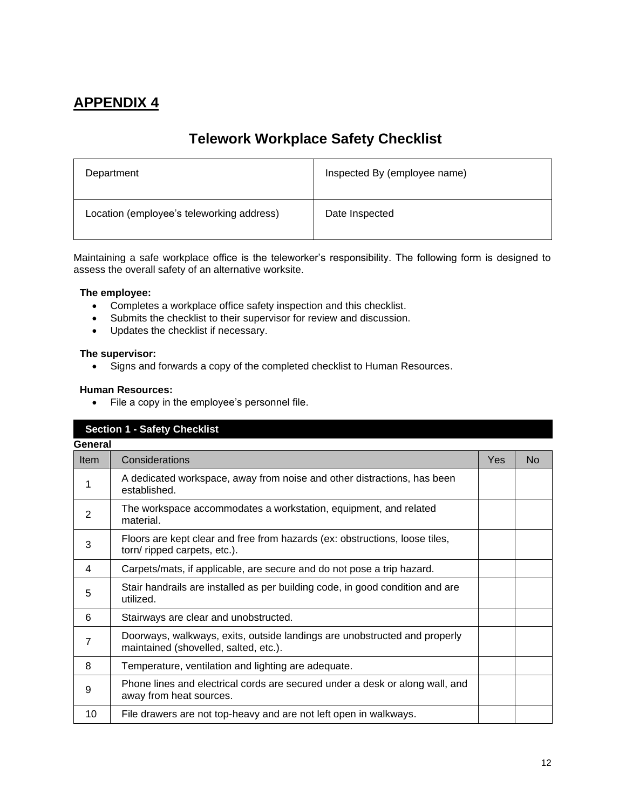# **Telework Workplace Safety Checklist**

| Department                                | Inspected By (employee name) |
|-------------------------------------------|------------------------------|
| Location (employee's teleworking address) | Date Inspected               |

Maintaining a safe workplace office is the teleworker's responsibility. The following form is designed to assess the overall safety of an alternative worksite.

#### **The employee:**

- Completes a workplace office safety inspection and this checklist.
- Submits the checklist to their supervisor for review and discussion.
- Updates the checklist if necessary.

#### **The supervisor:**

• Signs and forwards a copy of the completed checklist to Human Resources.

#### **Human Resources:**

• File a copy in the employee's personnel file.

| <b>Section 1 - Safety Checklist</b> |                                                                                                                    |            |                |
|-------------------------------------|--------------------------------------------------------------------------------------------------------------------|------------|----------------|
| General                             |                                                                                                                    |            |                |
| <b>Item</b>                         | Considerations                                                                                                     | <b>Yes</b> | N <sub>0</sub> |
|                                     | A dedicated workspace, away from noise and other distractions, has been<br>established.                            |            |                |
| 2                                   | The workspace accommodates a workstation, equipment, and related<br>material.                                      |            |                |
| 3                                   | Floors are kept clear and free from hazards (ex: obstructions, loose tiles,<br>torn/ ripped carpets, etc.).        |            |                |
| 4                                   | Carpets/mats, if applicable, are secure and do not pose a trip hazard.                                             |            |                |
| 5                                   | Stair handrails are installed as per building code, in good condition and are<br>utilized.                         |            |                |
| 6                                   | Stairways are clear and unobstructed.                                                                              |            |                |
| 7                                   | Doorways, walkways, exits, outside landings are unobstructed and properly<br>maintained (shovelled, salted, etc.). |            |                |
| 8                                   | Temperature, ventilation and lighting are adequate.                                                                |            |                |
| 9                                   | Phone lines and electrical cords are secured under a desk or along wall, and<br>away from heat sources.            |            |                |
| 10                                  | File drawers are not top-heavy and are not left open in walkways.                                                  |            |                |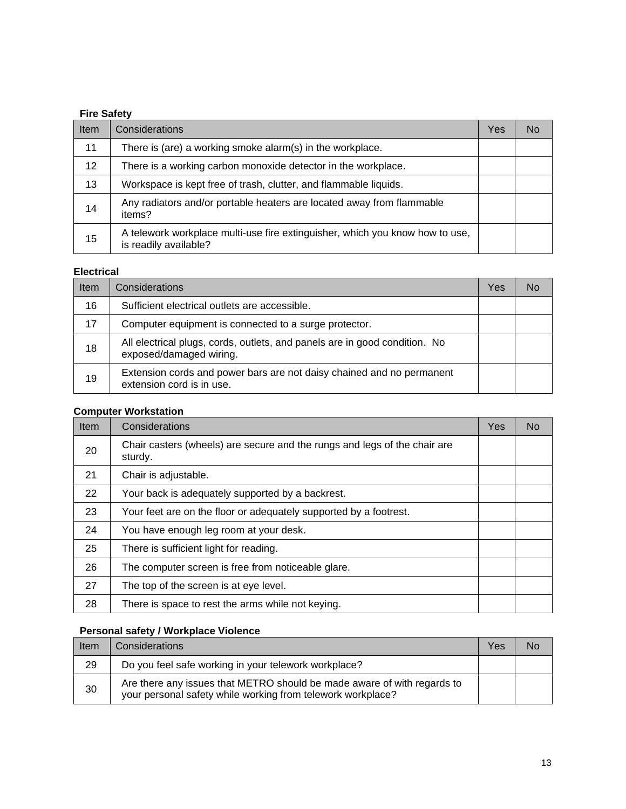| <b>Fire Safety</b> |                                                                                                       |     |    |  |
|--------------------|-------------------------------------------------------------------------------------------------------|-----|----|--|
| Item               | Considerations                                                                                        | Yes | No |  |
| 11                 | There is (are) a working smoke alarm(s) in the workplace.                                             |     |    |  |
| 12                 | There is a working carbon monoxide detector in the workplace.                                         |     |    |  |
| 13                 | Workspace is kept free of trash, clutter, and flammable liquids.                                      |     |    |  |
| 14                 | Any radiators and/or portable heaters are located away from flammable<br>items?                       |     |    |  |
| 15                 | A telework workplace multi-use fire extinguisher, which you know how to use,<br>is readily available? |     |    |  |

#### **Electrical**

| Item | Considerations                                                                                        | Yes | No |
|------|-------------------------------------------------------------------------------------------------------|-----|----|
| 16   | Sufficient electrical outlets are accessible.                                                         |     |    |
| 17   | Computer equipment is connected to a surge protector.                                                 |     |    |
| 18   | All electrical plugs, cords, outlets, and panels are in good condition. No<br>exposed/damaged wiring. |     |    |
| 19   | Extension cords and power bars are not daisy chained and no permanent<br>extension cord is in use.    |     |    |

#### **Computer Workstation**

| Item | Considerations                                                                       | Yes | No |
|------|--------------------------------------------------------------------------------------|-----|----|
| 20   | Chair casters (wheels) are secure and the rungs and legs of the chair are<br>sturdy. |     |    |
| 21   | Chair is adjustable.                                                                 |     |    |
| 22   | Your back is adequately supported by a backrest.                                     |     |    |
| 23   | Your feet are on the floor or adequately supported by a footrest.                    |     |    |
| 24   | You have enough leg room at your desk.                                               |     |    |
| 25   | There is sufficient light for reading.                                               |     |    |
| 26   | The computer screen is free from noticeable glare.                                   |     |    |
| 27   | The top of the screen is at eye level.                                               |     |    |
| 28   | There is space to rest the arms while not keying.                                    |     |    |

#### **Personal safety / Workplace Violence**

| Item | Considerations                                                                                                                         | Yes | No |
|------|----------------------------------------------------------------------------------------------------------------------------------------|-----|----|
| 29   | Do you feel safe working in your telework workplace?                                                                                   |     |    |
| 30   | Are there any issues that METRO should be made aware of with regards to<br>your personal safety while working from telework workplace? |     |    |